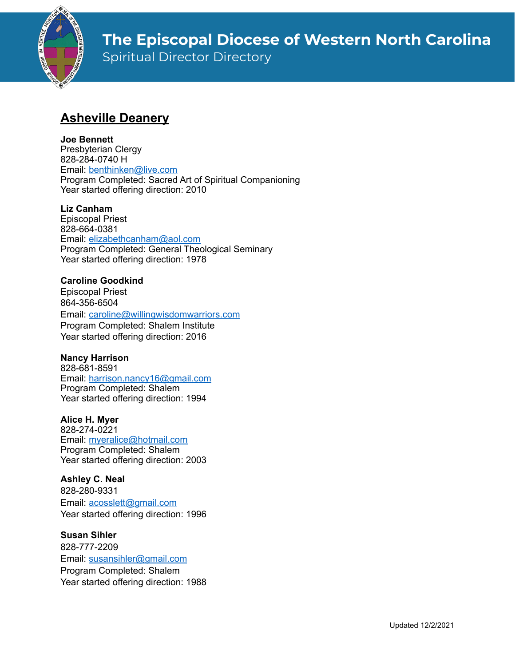

Spiritual Director Directory

# **Asheville Deanery**

### **Joe Bennett**

Presbyterian Clergy 828-284-0740 H Email: [benthinken@live.com](mailto:benthinken@live.com) Program Completed: Sacred Art of Spiritual Companioning Year started offering direction: 2010

### **Liz Canham**

Episcopal Priest 828-664-0381 Email: [elizabethcanham@aol.com](mailto:elizabethcanham@aol.com) Program Completed: General Theological Seminary Year started offering direction: 1978

### **Caroline Goodkind**

Episcopal Priest 864-356-6504 Email: [caroline@willingwisdomwarriors.com](mailto:caroline@willingwisdomwarriors.com) Program Completed: Shalem Institute Year started offering direction: 2016

#### **Nancy Harrison**

828-681-8591 Email: [harrison.nancy16@gmail.com](mailto:harrison.nancy16@gmail.com) Program Completed: Shalem Year started offering direction: 1994

#### **Alice H. Myer**

828-274-0221 Email: [myeralice@hotmail.com](mailto:myeralice@hotmail.com) Program Completed: Shalem Year started offering direction: 2003

#### **Ashley C. Neal** 828-280-9331

Email: [acosslett@gmail.com](mailto:acosslett@gmail.com) Year started offering direction: 1996

### **Susan Sihler**

828-777-2209 Email: [susansihler@gmail.com](mailto:susansihler@gmail.com) Program Completed: Shalem Year started offering direction: 1988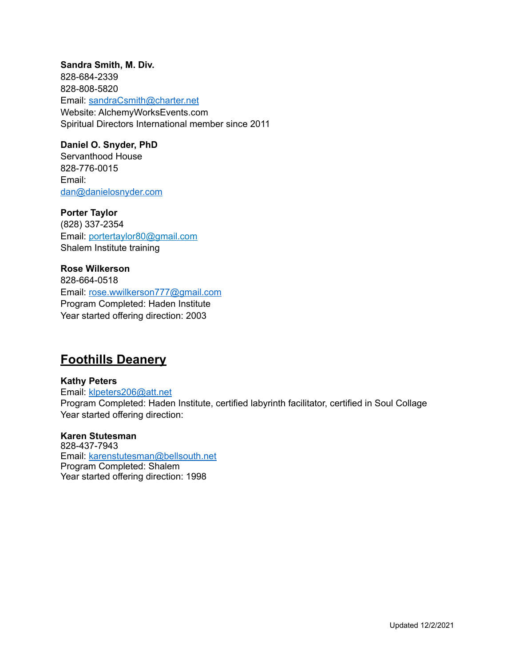**Sandra Smith, M. Div.** 828-684-2339 828-808-5820 Email: [sandraCsmith@charter.net](mailto:sandraCsmith@charter.net) Website: AlchemyWorksEvents.com Spiritual Directors International member since 2011

#### **Daniel O. Snyder, PhD**

Servanthood House 828-776-0015 Email: [dan@danielosnyder.com](mailto:dan@danielosnyder.com)

**Porter Taylor**

(828) 337-2354 Email: [portertaylor80@gmail.com](mailto:portertaylor80@gmail.com) Shalem Institute training

**Rose Wilkerson** 828-664-0518 Email: [rose.wwilkerson777@gmail.com](mailto:rose.wwilkerson777@gmail.com) Program Completed: Haden Institute Year started offering direction: 2003

## **Foothills Deanery**

**Kathy Peters** Email: [klpeters206@att.net](mailto:klpeters206@att.net) Program Completed: Haden Institute, certified labyrinth facilitator, certified in Soul Collage Year started offering direction:

#### **Karen Stutesman**

828-437-7943 Email: [karenstutesman@bellsouth.net](mailto:karenstutesman@bellsouth.net) Program Completed: Shalem Year started offering direction: 1998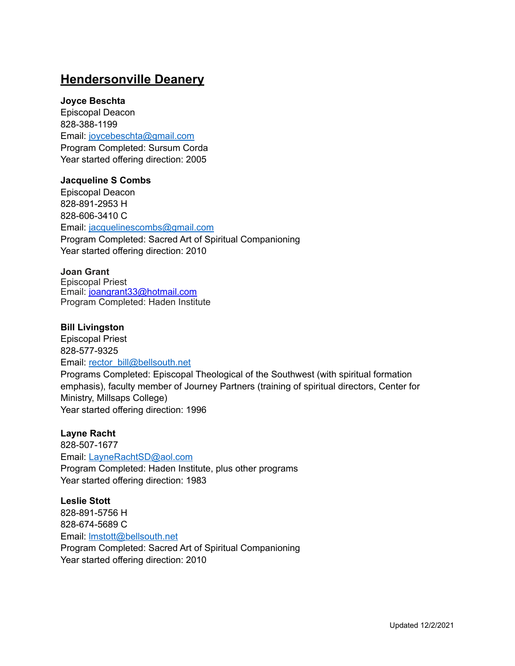## **Hendersonville Deanery**

#### **Joyce Beschta**

Episcopal Deacon 828-388-1199 Email: [joycebeschta@gmail.com](mailto:joycebeschta@gmail.com) Program Completed: Sursum Corda Year started offering direction: 2005

#### **Jacqueline S Combs**

Episcopal Deacon 828-891-2953 H 828-606-3410 C Email: [jacquelinescombs@gmail.com](mailto:jacquelinescombs@gmail.com) Program Completed: Sacred Art of Spiritual Companioning Year started offering direction: 2010

#### **Joan Grant**

Episcopal Priest Email: [joangrant33@hotmail.com](mailto:joangrant33@hotmail.com) Program Completed: Haden Institute

#### **Bill Livingston**

Episcopal Priest 828-577-9325

Email: [rector\\_bill@bellsouth.net](mailto:rector_bill@bellsouth.net)

Programs Completed: Episcopal Theological of the Southwest (with spiritual formation emphasis), faculty member of Journey Partners (training of spiritual directors, Center for Ministry, Millsaps College) Year started offering direction: 1996

#### **Layne Racht**

828-507-1677 Email: [LayneRachtSD@aol.com](mailto:LayneRachtSD@aol.com) Program Completed: Haden Institute, plus other programs Year started offering direction: 1983

**Leslie Stott** 828-891-5756 H 828-674-5689 C Email: [lmstott@bellsouth.net](mailto:lmstott@bellsouth.net) Program Completed: Sacred Art of Spiritual Companioning Year started offering direction: 2010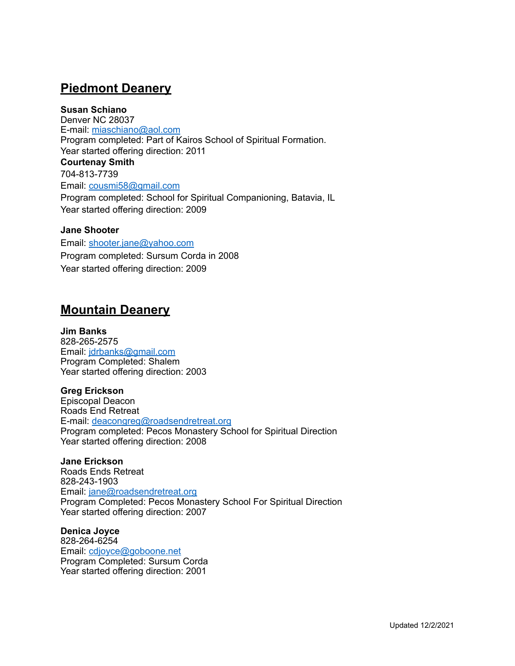## **Piedmont Deanery**

### **Susan Schiano**

Denver NC 28037 E-mail: [miaschiano@aol.com](mailto:miaschiano@aol.com) Program completed: Part of Kairos School of Spiritual Formation. Year started offering direction: 2011 **Courtenay Smith** 704-813-7739 Email: [cousmi58@gmail.com](mailto:cousmi58@gmail.com) Program completed: School for Spiritual Companioning, Batavia, IL Year started offering direction: 2009

#### **Jane Shooter**

Email: [shooter.jane@yahoo.com](mailto:shooter.jane@yahoo.com) Program completed: Sursum Corda in 2008 Year started offering direction: 2009

## **Mountain Deanery**

**Jim Banks** 828-265-2575 Email: [jdrbanks@gmail.com](mailto:jdrbanks@gmail.com) Program Completed: Shalem Year started offering direction: 2003

**Greg Erickson** Episcopal Deacon Roads End Retreat E-mail: [deacongreg@roadsendretreat.org](mailto:deacongreg@roadsendretreat.org) Program completed: Pecos Monastery School for Spiritual Direction Year started offering direction: 2008

**Jane Erickson** Roads Ends Retreat 828-243-1903 Email: [jane@roadsendretreat.org](mailto:jane@roadsendretreat.org) Program Completed: Pecos Monastery School For Spiritual Direction Year started offering direction: 2007

**Denica Joyce** 828-264-6254 Email: [cdjoyce@goboone.net](mailto:cdjoyce@goboone.net) Program Completed: Sursum Corda Year started offering direction: 2001